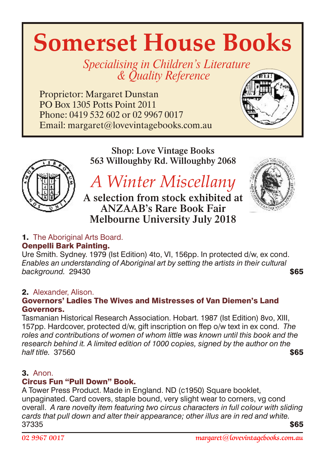# **Somerset House Books**

Specialising in Children's Literature & *Quality Reference* 

Proprietor: Margaret Dunstan PO Box 1305 Potts Point 2011 Phone: 0419 532 602 or 02 9967 0017 Email: margaret@lovevintagebooks.com.au



Shop: Love Vintage Books 563 Willoughby Rd. Willoughby 2068

# *A Winter Miscellany*

A selection from stock exhibited at ANZAAB's Rare Book Fair Melbourne University July 2018



# 1. The Aboriginal Arts Board.

# Oenpelli Bark Painting.

Ure Smith. Sydney. 1979 (Ist Edition) 4to, VI, 156pp. In protected d/w, ex cond. *Enables an understanding of Aboriginal art by setting the artists in their cultural* **background.** 29430 **\$65** 

# 2. Alexander, Alison.

#### Governors' Ladies The Wives and Mistresses of Van Diemen's Land Governors.

Tasmanian Historical Research Association. Hobart. 1987 (Ist Edition) 8vo, XIII, 157pp. Hardcover, protected d/w, gift inscription on ffep o/w text in ex cond. *The roles and contributions of women of whom little was known until this book and the research behind it. A limited edition of 1000 copies, signed by the author on the half title.* 37560 \$65

# 3. Anon.

# Circus Fun "Pull Down" Book.

A Tower Press Product. Made in England. ND (c1950) Square booklet, unpaginated. Card covers, staple bound, very slight wear to corners, vg cond overall. *A rare novelty item featuring two circus characters in full colour with sliding cards that pull down and alter their appearance; other illus are in red and white.*  $37335$   $\$65$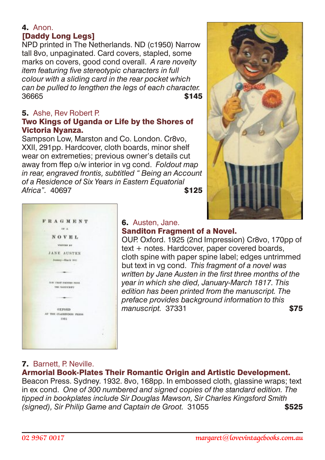# 4. Anon. [Daddy Long Legs]

NPD printed in The Netherlands. ND (c1950) Narrow tall 8vo, unpaginated. Card covers, stapled, some marks on covers, good cond overall. *A rare novelty item featuring five stereotypic characters in full colour with a sliding card in the rear pocket which can be pulled to lengthen the legs of each character.* 36665 \$145

# 5. Ashe, Rev Robert P.

#### Two Kings of Uganda or Life by the Shores of Victoria Nyanza.

Sampson Low, Marston and Co. London. Cr8vo, XXII, 291pp. Hardcover, cloth boards, minor shelf wear on extremeties; previous owner's details cut away from ffep o/w interior in vg cond. *Foldout map in rear, engraved frontis, subtitled " Being an Account of a Residence of Six Years in Eastern Equatorial Africa"* 40697 **\$125** 





#### 6. Austen, Jane. Sanditon Fragment of a Novel.

OUP. Oxford. 1925 (2nd Impression) Cr8vo, 170pp of text + notes. Hardcover, paper covered boards, cloth spine with paper spine label; edges untrimmed but text in vg cond. *This fragment of a novel was written by Jane Austen in the first three months of the year in which she died, January-March 1817. This edition has been printed from the manuscript. The preface provides background information to this* manuscript. 37331 **\$75** 

# 7. Barnett, P. Neville.

# Armorial Book-Plates Their Romantic Origin and Artistic Development.

Beacon Press. Sydney. 1932. 8vo, 168pp. In embossed cloth, glassine wraps; text in ex cond. *One of 300 numbered and signed copies of the standard edition. The tipped in bookplates include Sir Douglas Mawson, Sir Charles Kingsford Smith (signed), Sir Philip Game and Captain de Groot.* 31055 \$525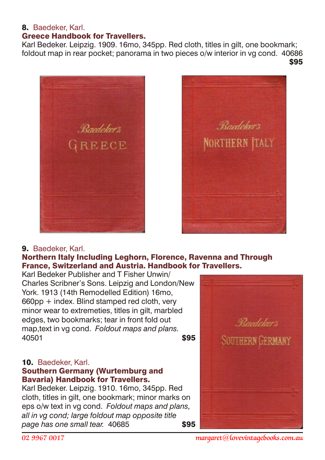#### 8. Baedeker, Karl.

# Greece Handbook for Travellers.

Karl Bedeker. Leipzig. 1909. 16mo, 345pp. Red cloth, titles in gilt, one bookmark; foldout map in rear pocket; panorama in two pieces o/w interior in vg cond. 40686  $$95$ 





#### 9. Baedeker, Karl.

#### Northern Italy Including Leghorn, Florence, Ravenna and Through France, Switzerland and Austria. Handbook for Travellers.

Karl Bedeker Publisher and T Fisher Unwin/ Charles Scribner's Sons. Leipzig and London/New York. 1913 (14th Remodelled Edition) 16mo, 660pp + index. Blind stamped red cloth, very minor wear to extremeties, titles in gilt, marbled edges, two bookmarks; tear in front fold out map,text in vg cond. *Foldout maps and plans.* 40501 **\$95** 

#### 10. Baedeker, Karl.

#### Southern Germany (Wurtemburg and Bavaria) Handbook for Travellers.

Karl Bedeker. Leipzig. 1910. 16mo, 345pp. Red cloth, titles in gilt, one bookmark; minor marks on eps o/w text in vg cond. *Foldout maps and plans, all in vg cond; large foldout map opposite title page has one small tear.* 40685 **\$95** 

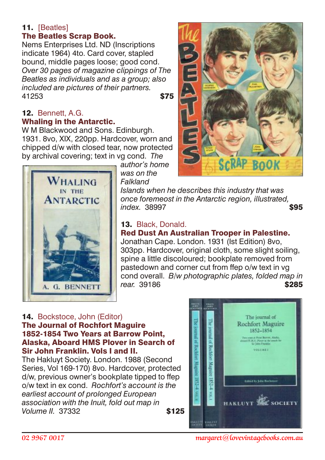# 11. [Beatles]

# The Beatles Scrap Book.

Nems Enterprises Ltd. ND (Inscriptions indicate 1964) 4to. Card cover, stapled bound, middle pages loose; good cond. *Over 30 pages of magazine clippings of The Beatles as individuals and as a group; also included are pictures of their partners.* 41253 **\$75** 

#### **12. Bennett, A.G.** Whaling in the Antarctic.

W M Blackwood and Sons. Edinburgh. 1931. 8vo, XIX, 220pp. Hardcover, worn and chipped d/w with closed tear, now protected by archival covering; text in vg cond. *The*



*author's home was on the Falkland*

*Islands when he describes this industry that was once foremeost in the Antarctic region, illustrated, index.* 38997 **\$95** 

# 13. Black, Donald. Red Dust An Australian Trooper in Palestine.

Jonathan Cape. London. 1931 (Ist Edition) 8vo, 303pp. Hardcover, original cloth, some slight soiling, spine a little discoloured; bookplate removed from pastedown and corner cut from ffep o/w text in vg cond overall. *B/w photographic plates, folded map in*  rear. 39186 **\$285** 

# 14. Bockstoce, John (Editor)

#### The Journal of Rochfort Maguire 1852-1854 Two Years at Barrow Point, Alaska, Aboard HMS Plover in Search of Sir John Franklin. Vols I and II.

The Hakluyt Society. London. 1988 (Second Series, Vol 169-170) 8vo. Hardcover, protected d/w, previous owner's bookplate tipped to ffep o/w text in ex cond. *Rochfort's account is the earliest account of prolonged European association with the Inuit, fold out map in Volume II.* 37332 **\$125** 





*02 9967 0017 margaret@lovevintagebooks.com.au*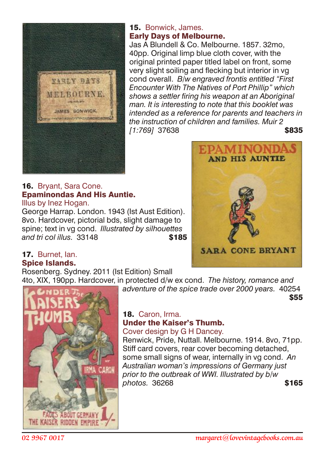

#### 15. Bonwick, James. Early Days of Melbourne.

Jas A Blundell & Co. Melbourne. 1857. 32mo, 40pp. Original limp blue cloth cover, with the original printed paper titled label on front, some very slight soiling and flecking but interior in vg cond overall. *B/w engraved frontis entitled "First Encounter With The Natives of Port Phillip" which shows a settler firing his weapon at an Aboriginal man. It is interesting to note that this booklet was intended as a reference for parents and teachers in the instruction of children and families. Muir 2 [1:769]* 37638 \$835

16. Bryant, Sara Cone. Epaminondas And His Auntie. Illus by Inez Hogan.

George Harrap. London. 1943 (Ist Aust Edition). 8vo. Hardcover, pictorial bds, slight damage to spine; text in vg cond. *Illustrated by silhouettes* and tri col illus. 33148



# 17. Burnet, Ian. Spice Islands.

Rosenberg. Sydney. 2011 (Ist Edition) Small

4to, XIX, 190pp. Hardcover, in protected d/w ex cond. *The history, romance and adventure of the spice trade over 2000 years.* 40254  $$55$ 



18. Caron, Irma. Under the Kaiser's Thumb. Cover design by G H Dancey.

Renwick, Pride, Nuttall. Melbourne. 1914. 8vo, 71pp. Stiff card covers, rear cover becoming detached, some small signs of wear, internally in vg cond. *An Australian woman's impressions of Germany just prior to the outbreak of WWI. Illustrated by b/w photos.* 36268 **\$165**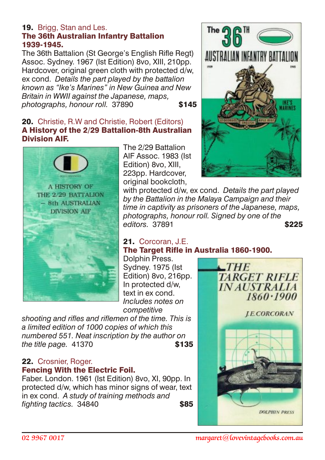#### 19. Brigg, Stan and Les. The 36th Australian Infantry Battalion 1939-1945.

The 36th Battalion (St George's English Rifle Regt) Assoc. Sydney, 1967 (Ist Edition) 8vo, XIII, 210pp. Hardcover, original green cloth with protected d/w, ex cond. *Details the part played by the battalion known as "Ike's Marines" in New Guinea and New Britain in WWII against the Japanese, maps, photographs, honour roll.* 37890 **\$145** 

#### 20. Christie, R.W and Christie, Robert (Editors) A History of the 2/29 Battalion-8th Australian Division AIF.



The 2/29 Battalion AIF Assoc. 1983 (Ist Edition) 8vo, XIII, 223pp. Hardcover, original bookcloth,



with protected d/w, ex cond. *Details the part played by the Battalion in the Malaya Campaign and their time in captivity as prisoners of the Japanese, maps, photographs, honour roll. Signed by one of the editors.* 37891 **\$225** 

# 21. Corcoran, J.E. The Target Rifle in Australia 1860-1900.

Dolphin Press. Sydney. 1975 (Ist Edition) 8vo. 216pp. In protected d/w, text in ex cond. *Includes notes on competitive*

*shooting and rifles and riflemen of the time. This is a limited edition of 1000 copies of which this numbered 551. Neat inscription by the author on the title page.* 41370 **\$135** 

#### 22. Crosnier, Roger. Fencing With the Electric Foil.

Faber. London. 1961 (Ist Edition) 8vo, XI, 90pp. In protected d/w, which has minor signs of wear, text in ex cond. *A study of training methods and fighting tactics.* 34840 **\$85** 

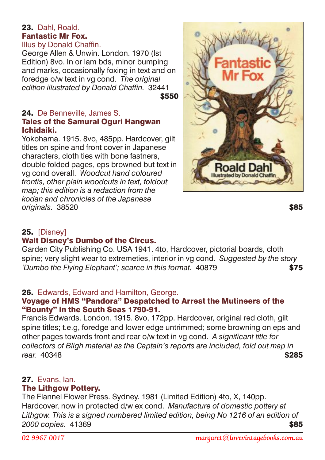#### 23. Dahl, Roald. Fantastic Mr Fox. Illus by Donald Chaffin.

George Allen & Unwin. London. 1970 (Ist Edition) 8vo. In or lam bds, minor bumping and marks, occasionally foxing in text and on foredge o/w text in vg cond. *The original edition illustrated by Donald Chaffin.* 32441 \$550

#### 24. De Benneville, James S. **Tales of the Samurai Oguri Hangwan** Ichidaiki.

Yokohama. 1915. 8vo, 485pp. Hardcover, gilt titles on spine and front cover in Japanese characters, cloth ties with bone fastners, double folded pages, eps browned but text in vg cond overall. *Woodcut hand coloured frontis, other plain woodcuts in text, foldout map; this edition is a redaction from the kodan and chronicles of the Japanese originals.* 38520 **\$85** 



# 25. [Disney]

# Walt Disney's Dumbo of the Circus.

Garden City Publishing Co. USA 1941. 4to, Hardcover, pictorial boards, cloth spine; very slight wear to extremeties, interior in vg cond. *Suggested by the story 'Dumbo the Flying Elephant'; scarce in this format.* 40879 \$75

# 26. Edwards, Edward and Hamilton, George.

#### Voyage of HMS "Pandora" Despatched to Arrest the Mutineers of the "Bounty" in the South Seas 1790-91.

Francis Edwards. London. 1915. 8vo, 172pp. Hardcover, original red cloth, gilt spine titles; t.e.g, foredge and lower edge untrimmed; some browning on eps and other pages towards front and rear o/w text in vg cond. *A significant title for collectors of Bligh material as the Captain's reports are included, fold out map in rear.* 40348 **\$285** 

# 27. Evans, Ian.

#### The Lithgow Pottery.

The Flannel Flower Press. Sydney. 1981 (Limited Edition) 4to, X, 140pp. Hardcover, now in protected d/w ex cond. *Manufacture of domestic pottery at Lithgow. This is a signed numbered limited edition, being No 1216 of an edition of 2000 copies.* 41369 \$85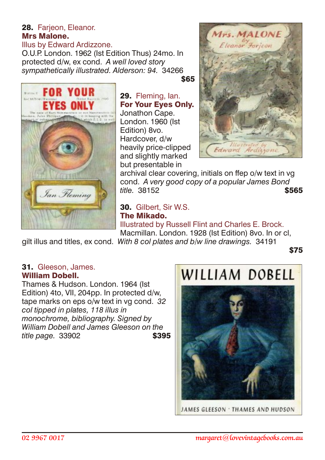# 28. Farjeon, Eleanor. Mrs Malone. Illus by Edward Ardizzone.

O.U.P. London. 1962 (Ist Edition Thus) 24mo. In protected d/w, ex cond. *A well loved story sympathetically illustrated. Alderson: 94.* 34266



\$65

29. Fleming, Ian. For Your Eyes Only. Jonathon Cape. London. 1960 (Ist Edition) 8vo. Hardcover, d/w heavily price-clipped and slightly marked but presentable in



archival clear covering, initials on ffep o/w text in vg cond. *A very good copy of a popular James Bond title.* 38152 **\$565** 

30. Gilbert, Sir W.S. The Mikado. Illustrated by Russell Flint and Charles E. Brock. Macmillan. London. 1928 (Ist Edition) 8vo. In or cl,

gilt illus and titles, ex cond. *With 8 col plates and b/w line drawings.* 34191

\$75

#### 31. Gleeson, James. William Dobell.

Thames & Hudson. London. 1964 (Ist Edition) 4to, VII, 204pp. In protected d/w, tape marks on eps o/w text in vg cond. *32 col tipped in plates, 118 illus in monochrome, bibliography. Signed by William Dobell and James Gleeson on the title page.* 33902 **\$395** 

# WILLIAM DORFIL



JAMES GLEESON . THAMES AND HUDSON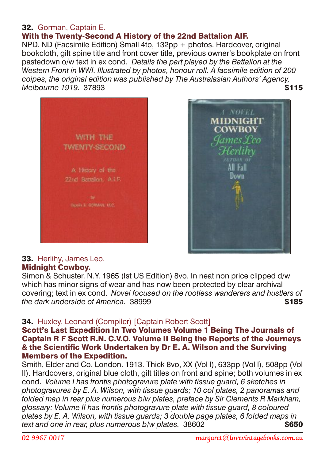#### 32. Gorman, Captain E.

# With the Twenty-Second A History of the 22nd Battalion AIF.

NPD. ND (Facsimile Edition) Small 4to, 132pp + photos. Hardcover, original bookcloth, gilt spine title and front cover title, previous owner's bookplate on front pastedown o/w text in ex cond. *Details the part played by the Battalion at the Western Front in WWI. Illustrated by photos, honour roll. A facsimile edition of 200 coipes, the original edition was published by The Australasian Authors' Agency, Melbourne 1919.* 37893 \$115





#### Midnight Cowboy.

Simon & Schuster. N.Y. 1965 (Ist US Edition) 8vo. In neat non price clipped d/w which has minor signs of wear and has now been protected by clear archival covering; text in ex cond. *Novel focused on the rootless wanderers and hustlers of the dark underside of America*. 38999 **\$185** 

#### 34. Huxley, Leonard (Compiler) [Captain Robert Scott]

#### Scott's Last Expedition In Two Volumes Volume 1 Being The Journals of Captain R F Scott R.N. C.V.O. Volume II Being the Reports of the Journeys & the Scientific Work Undertaken by Dr E. A. Wilson and the Surviving Members of the Expedition.

Smith, Elder and Co. London. 1913. Thick 8vo, XX (Vol I), 633pp (Vol I), 508pp (Vol II). Hardcovers, original blue cloth, gilt titles on front and spine; both volumes in ex cond. *Volume I has frontis photogravure plate with tissue guard, 6 sketches in photogravures by E. A. Wilson, with tissue guards; 10 col plates, 2 panoramas and folded map in rear plus numerous b/w plates, preface by Sir Clements R Markham, glossary: Volume II has frontis photogravure plate with tissue guard, 8 coloured plates by E. A. Wilson, with tissue guards; 3 double page plates, 6 folded maps in text and one in rear, plus numerous b/w plates.* 38602 **\$650 \$650** 

A NOVEL

All Fall Down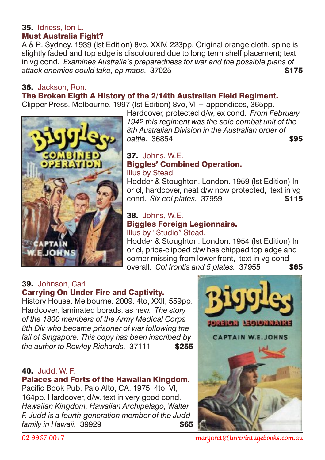#### 35. Idriess, Ion L. Must Australia Fight?

A & R. Sydney. 1939 (Ist Edition) 8vo, XXIV, 223pp. Original orange cloth, spine is slightly faded and top edge is discoloured due to long term shelf placement; text in vg cond. *Examines Australia's preparedness for war and the possible plans of* **attack enemies could take, ep maps.** 37025 **\$175** 

# 36. Jackson, Ron.

# The Broken Eigth A History of the 2/14th Australian Field Regiment.

Clipper Press. Melbourne. 1997 (Ist Edition) 8vo, VI + appendices, 365pp.

Hardcover, protected d/w, ex cond. *From February 1942 this regiment was the sole combat unit of the 8th Australian Division in the Australian order of battle.* 36854 **\$95** 

#### 37. Johns, W.E. Biggles' Combined Operation. Illus by Stead.

Hodder & Stoughton. London. 1959 (Ist Edition) In or cl, hardcover, neat d/w now protected, text in vg cond. *Six col plates.* 37959 \$115

#### 38. Johns, W.E. Biggles Foreign Legionnaire. Illus by "Studio" Stead.

Hodder & Stoughton. London. 1954 (Ist Edition) In or cl, price-clipped d/w has chipped top edge and corner missing from lower front, text in va cond overall. *Col frontis and 5 plates.* 37955 **\$65** 

#### 39. Johnson, Carl. Carrying On Under Fire and Captivity.

History House. Melbourne. 2009. 4to, XXII, 559pp. Hardcover, laminated borads, as new. *The story of the 1800 members of the Army Medical Corps 8th Div who became prisoner of war following the fall of Singapore. This copy has been inscribed by the author to Rowley Richards.* 37111 \$255

# 40. Judd, W. F.

# Palaces and Forts of the Hawaiian Kingdom.

Pacific Book Pub. Palo Alto, CA. 1975. 4to, VI, 164pp. Hardcover, d/w. text in very good cond. *Hawaiian Kingdom, Hawaiian Archipelago, Walter F. Judd is a fourth-generation member of the Judd family in Hawaii.* 39929 **\$65** 

CAPTAIN W.E. JOHNS



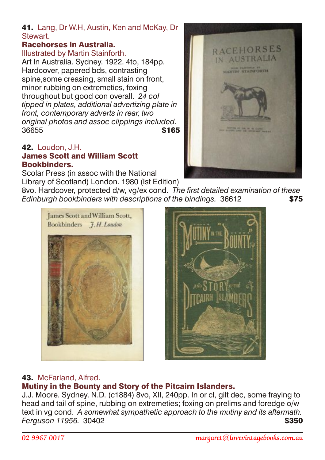#### 41. Lang, Dr W.H, Austin, Ken and McKay, Dr **Stewart**

# Racehorses in Australia.

Illustrated by Martin Stainforth. Art In Australia. Sydney. 1922. 4to, 184pp. Hardcover, papered bds, contrasting spine,some creasing, small stain on front, minor rubbing on extremeties, foxing throughout but good con overall. *24 col tipped in plates, additional advertizing plate in front, contemporary adverts in rear, two original photos and assoc clippings included.* 36655 **\$165** 

#### 42. Loudon, J.H. James Scott and William Scott Bookbinders.

Scolar Press (in assoc with the National Library of Scotland) London. 1980 (Ist Edition)

8vo. Hardcover, protected d/w, vg/ex cond. *The first detailed examination of these Edinburgh bookbinders with descriptions of the bindings.* 36612 \$75





# 43. McFarland, Alfred.

# Mutiny in the Bounty and Story of the Pitcairn Islanders.

J.J. Moore. Sydney. N.D. (c1884) 8vo, XII, 240pp. In or cl, gilt dec, some fraying to head and tail of spine, rubbing on extremeties; foxing on prelims and foredge o/w text in vg cond. *A somewhat sympathetic approach to the mutiny and its aftermath.*  **Ferguson 11956.** 30402 **\$350** 

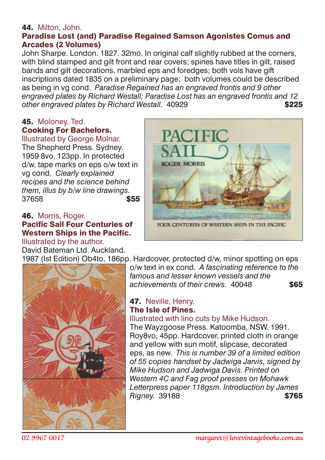# 44. Milton, John.

#### Paradise Lost (and) Paradise Regained Samson Agonistes Comus and Arcades (2 Volumes)

John Sharpe. London. 1827. 32mo. In original calf slightly rubbed at the corners, with blind stamped and gilt front and rear covers; spines have titles in gilt, raised bands and gilt decorations, marbled eps and foredges; both vols have gift inscriptions dated 1835 on a preliminary page; both volumes could be described as being in vg cond. *Paradise Regained has an engraved frontis and 9 other engraved plates by Richard Westall; Paradise Lost has an engraved frontis and 12 other engraved plates by Richard Westall.* 40929 **5225** 

#### 45. Moloney, Ted. Cooking For Bachelors.

Illustrated by George Molnar. The Shepherd Press. Sydney. 1959 8vo, 123pp. In protected d/w, tape marks on eps o/w text in vg cond. *Clearly explained recipes and the science behind them, illus by b/w line drawings.* 37658 **\$55** 

#### 46. Morris, Roger. Pacific Sail Four Centuries of Western Ships in the Pacific.

Illustrated by the author. David Bateman Ltd. Auckland.



1987 (Ist Edition) Ob4to, 186pp. Hardcover, protected d/w, minor spotting on eps



o/w text in ex cond. *A fascinating reference to the famous and lesser known vessels and the* achievements of their crews. 40048 **\$65** 

#### 47. Neville, Henry. The Isle of Pines.

#### Illustrated with lino cuts by Mike Hudson.

The Wayzgoose Press. Katoomba, NSW. 1991. Roy8vo, 45pp. Hardcover, printed cloth in orange and yellow with sun motif, slipcase, decorated eps, as new. *This is number 39 of a limited edition of 55 copies handset by Jadwiga Jarvis, signed by Mike Hudson and Jadwiga Davis. Printed on Western 4C and Fag proof presses on Mohawk Letterpress paper 118gsm. Introduction by James* **Rigney.** 39188 **\$765**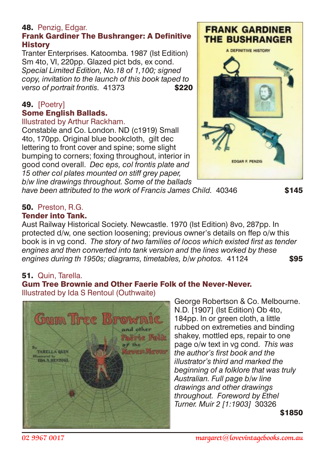# 48. Penzig, Edgar.

# Frank Gardiner The Bushranger: A Definitive **History**

Tranter Enterprises. Katoomba. 1987 (Ist Edition) Sm 4to, VI, 220pp. Glazed pict bds, ex cond. *Special Limited Edition, No.18 of 1,100; signed copy, invitation to the launch of this book taped to verso of portrait frontis.* 41373 **\$220** 

# 49. [Poetry] Some English Ballads.

#### Illustrated by Arthur Rackham.

Constable and Co. London. ND (c1919) Small 4to, 170pp. Original blue bookcloth, gilt dec lettering to front cover and spine; some slight bumping to corners; foxing throughout, interior in good cond overall. *Dec eps, col frontis plate and 15 other col plates mounted on stiff grey paper, b/w line drawings throughout. Some of the ballads*



*have been attributed to the work of Francis James Child.* 40346 **\$145** 

#### 50. Preston, R.G. Tender into Tank.

Aust Railway Historical Society. Newcastle. 1970 (Ist Edition) 8vo, 287pp. In protected d/w, one section loosening; previous owner's details on ffep o/w this book is in vg cond. *The story of two families of locos which existed first as tender engines and then converted into tank version and the lines worked by these engines during th 1950s; diagrams, timetables, b/w photos.* 41124 \$95

# 51. Quin, Tarella.

#### Gum Tree Brownie and Other Faerie Folk of the Never-Never. Illustrated by Ida S Rentoul (Outhwaite)



George Robertson & Co. Melbourne. N.D. [1907] (Ist Edition) Ob 4to, 184pp. In or green cloth, a little rubbed on extremeties and binding shakey, mottled eps, repair to one page o/w text in vg cond. *This was the author's first book and the illustrator's third and marked the beginning of a folklore that was truly Australian. Full page b/w line drawings and other drawings throughout. Foreword by Ethel Turner. Muir 2 [1:1903]* 30326

\$1850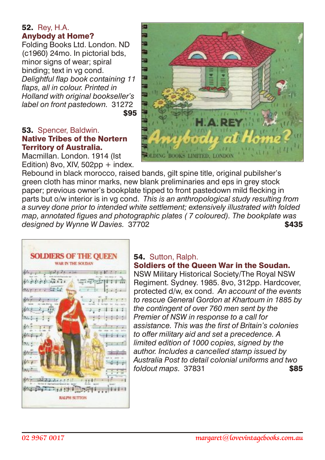#### 52. Rey, H.A. Anybody at Home?

Folding Books Ltd. London. ND (c1960) 24mo. In pictorial bds, minor signs of wear; spiral binding; text in vg cond. *Delightful flap book containing 11 flaps, all in colour. Printed in Holland with original bookseller's label on front pastedown.* 31272 \$95

#### 53. Spencer, Baldwin. Native Tribes of the Nortern Territory of Australia.

Macmillan. London. 1914 (Ist Edition) 8vo, XIV,  $502$ pp + index.



Rebound in black morocco, raised bands, gilt spine title, original pubilsher's green cloth has minor marks, new blank preliminaries and eps in grey stock paper; previous owner's bookplate tipped to front pastedown mild flecking in parts but o/w interior is in vg cond. *This is an anthropological study resulting from a survey done prior to intended white settlement; extensively illustrated with folded map, annotated figues and photographic plates ( 7 coloured). The bookplate was* designed by Wynne W Davies. 37702 **\$435** 



# 54. Sutton, Ralph.

#### Soldiers of the Queen War in the Soudan.

NSW Military Historical Society/The Royal NSW Regiment. Sydney. 1985. 8vo, 312pp. Hardcover, protected d/w, ex cond. *An account of the events to rescue General Gordon at Khartoum in 1885 by the contingent of over 760 men sent by the Premier of NSW in response to a call for assistance. This was the first of Britain's colonies to offer military aid and set a precedence. A limited edition of 1000 copies, signed by the author. Includes a cancelled stamp issued by Australia Post to detail colonial uniforms and two foldout maps.* 37831 **\$85**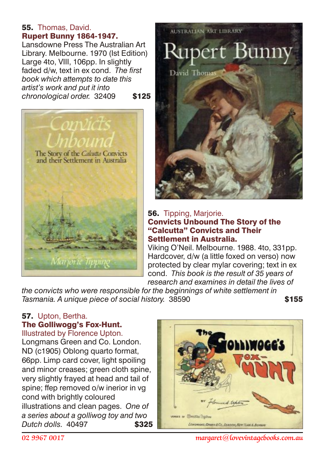#### 55. Thomas, David. Rupert Bunny 1864-1947.

Lansdowne Press The Australian Art Library. Melbourne. 1970 (Ist Edition) Large 4to, VIII, 106pp. In slightly faded d/w, text in ex cond. *The first book which attempts to date this artist's work and put it into chronological order.* 32409 \$125





#### **56.** Tipping, Mariorie. Convicts Unbound The Story of the "Calcutta" Convicts and Their Settlement in Australia.

Viking O'Neil. Melbourne. 1988. 4to, 331pp. Hardcover, d/w (a little foxed on verso) now protected by clear mylar covering; text in ex cond. *This book is the result of 35 years of research and examines in detail the lives of*

*the convicts who were responsible for the beginnings of white settlement in Tasmania. A unique piece of social history.* 38590

# 57. Upton, Bertha. The Golliwogg's Fox-Hunt.

Illustrated by Florence Upton. Longmans Green and Co. London. ND (c1905) Oblong quarto format, 66pp. Limp card cover, light spoiling and minor creases; green cloth spine, very slightly frayed at head and tail of spine; ffep removed o/w inerior in vg cond with brightly coloured illustrations and clean pages. *One of a series about a golliwog toy and two Dutch dolls.* 40497 \$325



*02 9967 0017 margaret@lovevintagebooks.com.au*